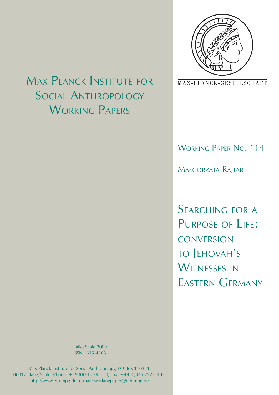

MAX-PLANCK-GESELLSCHAFT

## Working Paper No. 114

Małgorzata Rajtar

SEARCHING FOR A PURPOSE OF LIFE: **CONVERSION** to Jehovah's WITNESSES IN Eastern Germany

# Max Planck Institute for Social **ANTHROPOLOGY** WORKING PAPERS

Halle / Saale 2009 ISSN 1615-4568

Max Planck Institute for Social Anthropology, PO Box 110351, 06017 Halle / Saale, Phone: +49 (0)345 2927- 0, Fax: +49 (0)345 2927- 402, http://www.eth.mpg.de, e-mail: workingpaper@eth.mpg.de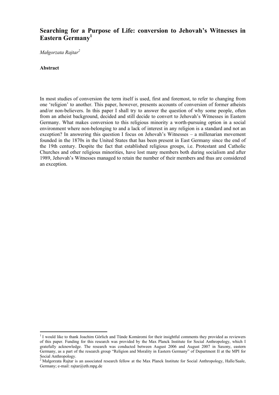### **Searching for a Purpose of Life: conversion to Jehovah's Witnesses in Eastern Germany<sup>1</sup>**

*Małgorzata Rajtar<sup>2</sup>*

#### **Abstract**

1

In most studies of conversion the term itself is used, first and foremost, to refer to changing from one 'religion' to another. This paper, however, presents accounts of conversion of former atheists and/or non-believers. In this paper I shall try to answer the question of why some people, often from an atheist background, decided and still decide to convert to Jehovah's Witnesses in Eastern Germany. What makes conversion to this religious minority a worth-pursuing option in a social environment where non-belonging to and a lack of interest in any religion is a standard and not an exception? In answering this question I focus on Jehovah's Witnesses – a millenarian movement founded in the 1870s in the United States that has been present in East Germany since the end of the 19th century. Despite the fact that established religious groups, i.e. Protestant and Catholic Churches and other religious minorities, have lost many members both during socialism and after 1989, Jehovah's Witnesses managed to retain the number of their members and thus are considered an exception.

<sup>&</sup>lt;sup>1</sup> I would like to thank Joachim Görlich and Tünde Komáromi for their insightful comments they provided as reviewers of this paper. Funding for this research was provided by the Max Planck Institute for Social Anthropology, which I gratefully acknowledge. The research was conducted between August 2006 and August 2007 in Saxony, eastern Germany, as a part of the research group "Religion and Morality in Eastern Germany" of Department II at the MPI for Social Anthropology.<br><sup>2</sup> Makaryata Baitar is

Małgorzata Rajtar is an associated research fellow at the Max Planck Institute for Social Anthropology, Halle/Saale, Germany; e-mail: rajtar@eth.mpg.de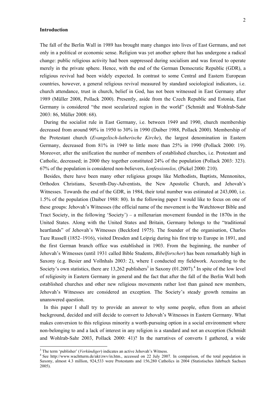#### **Introduction**

The fall of the Berlin Wall in 1989 has brought many changes into lives of East Germans, and not only in a political or economic sense. Religion was yet another sphere that has undergone a radical change: public religious activity had been suppressed during socialism and was forced to operate merely in the private sphere. Hence, with the end of the German Democratic Republic (GDR), a religious revival had been widely expected. In contrast to some Central and Eastern European countries, however, a general religious revival measured by standard sociological indicators, i.e. church attendance, trust in church, belief in God, has not been witnessed in East Germany after 1989 (Müller 2008, Pollack 2000). Presently, aside from the Czech Republic and Estonia, East Germany is considered "the most secularized region in the world" (Schmidt and Wohlrab-Sahr 2003: 86, Müller 2008: 68).

During the socialist rule in East Germany, i.e. between 1949 and 1990, church membership decreased from around 90% in 1950 to 30% in 1990 (Daiber 1988, Pollack 2000). Membership of the Protestant church (*Evangelisch-lutherische Kirche*), the largest denomination in Eastern Germany, decreased from 81% in 1949 to little more than 25% in 1990 (Pollack 2000: 19). Moreover, after the unification the number of members of established churches, i.e. Protestant and Catholic, decreased; in 2000 they together constituted 24% of the population (Pollack 2003: 323). 67% of the population is considered non-believers, *konfessionslos,* (Pickel 2000: 210).

Besides, there have been many other religious groups like Methodists, Baptists, Mennonites, Orthodox Christians, Seventh-Day-Adventists, the New Apostolic Church, and Jehovah's Witnesses. Towards the end of the GDR, in 1984, their total number was estimated at 243,000, i.e. 1.5% of the population (Daiber 1988: 80). In the following paper I would like to focus on one of these groups: Jehovah's Witnesses (the official name of the movement is the Watchtower Bible and Tract Society, in the following 'Society') – a millenarian movement founded in the 1870s in the United States. Along with the United States and Britain, Germany belongs to the "traditional heartlands" of Jehovah's Witnesses (Beckford 1975). The founder of the organisation, Charles Taze Russell (1852–1916), visited Dresden and Leipzig during his first trip to Europe in 1891, and the first German branch office was established in 1903. From the beginning, the number of Jehovah's Witnesses (until 1931 called Bible Students, *Bibelforscher*) has been remarkably high in Saxony (e.g. Besier and Vollnhals 2003: 2), where I conducted my fieldwork. According to the Society's own statistics, there are  $13,262$  publishers<sup>3</sup> in Saxony (01.2007).<sup>4</sup> In spite of the low level of religiosity in Eastern Germany in general and the fact that after the fall of the Berlin Wall both established churches and other new religious movements rather lost than gained new members, Jehovah's Witnesses are considered an exception. The Society's steady growth remains an unanswered question.

In this paper I shall try to provide an answer to why some people, often from an atheist background, decided and still decide to convert to Jehovah's Witnesses in Eastern Germany. What makes conversion to this religious minority a worth-pursuing option in a social environment where non-belonging to and a lack of interest in any religion is a standard and not an exception (Schmidt and Wohlrab-Sahr 2003, Pollack 2000: 41)? In the narratives of converts I gathered, a wide

<sup>&</sup>lt;sup>3</sup> The term 'publisher' (*Verkündiger*) indicates an active Jehovah's Witness.

<sup>&</sup>lt;sup>4</sup> See http://www.wachtturm.de/akt/zwv/in.htm., accessed on 22 July 2007. In comparison, of the total population in Saxony, almost 4.3 million, 924,533 were Protestants and 156,280 Catholics in 2004 (Statistisches Jahrbuch Sachsen 2005).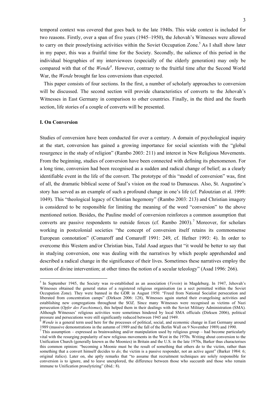temporal context was covered that goes back to the late 1940s. This wide context is included for two reasons. Firstly, over a span of five years (1945–1950), the Jehovah's Witnesses were allowed to carry on their proselytising activities within the Soviet Occupation Zone.<sup>5</sup> As I shall show later in my paper, this was a fruitful time for the Society. Secondly, the salience of this period in the individual biographies of my interviewees (especially of the elderly generation) may only be compared with that of the *Wende<sup>6</sup>* . However, contrary to the fruitful time after the Second World War, the *Wende* brought far less conversions than expected.

This paper consists of four sections. In the first, a number of scholarly approaches to conversion will be discussed. The second section will provide characteristics of converts to the Jehovah's Witnesses in East Germany in comparison to other countries. Finally, in the third and the fourth section, life stories of a couple of converts will be presented.

#### **I. On Conversion**

1

Studies of conversion have been conducted for over a century. A domain of psychological inquiry at the start, conversion has gained a growing importance for social scientists with the "global resurgence in the study of religion" (Rambo 2003: 211) and interest in New Religious Movements. From the beginning, studies of conversion have been connected with defining its phenomenon. For a long time, conversion had been recognised as a sudden and radical change of belief; as a clearly identifiable event in the life of the convert. The prototype of this "model of conversion" was, first of all, the dramatic biblical scene of Saul's vision on the road to Damascus. Also, St. Augustine's story has served as an example of such a profound change in one's life (cf. Paloutzian et al. 1999: 1049). This "theological legacy of Christian hegemony" (Rambo 2003: 213) and Christian imagery is considered to be responsible for limiting the meaning of the word "conversion" to the above mentioned notion. Besides, the Pauline model of conversion reinforces a common assumption that converts are passive respondents to outside forces (cf. Rambo 2003).<sup>7</sup> Moreover, for scholars working in postcolonial societies "the concept of conversion itself retains its commonsense European connotation" (Comaroff and Comaroff 1991: 249, cf. Hefner 1993: 4). In order to overcome this Western and/or Christian bias, Talal Asad argues that "it would be better to say that in studying conversion, one was dealing with the narratives by which people apprehended and described a radical change in the significance of their lives. Sometimes these narratives employ the notion of divine intervention; at other times the notion of a secular teleology" (Asad 1996: 266).

<sup>&</sup>lt;sup>5</sup> In September 1945, the Society was re-established as an association (*Verein*) in Magdeburg. In 1947, Jehovah's Witnesses obtained the general status of a registered religious organisation (as a sect permitted within the Soviet Occupation Zone). They were banned in the GDR in August 1950. "Freed from National Socialist persecution and liberated from concentration camps" (Dirksen 2006: 128), Witnesses again started their evangelising activities and establishing new congregations throughout the SOZ. Since many Witnesses were recognised as victims of Nazi persecution (*Opfer des Faschismus*), this helped them in their dealings with the Soviet Military Administration (SMA). Although Witnesses' religious activities were sometimes hindered by local SMA officials (Dirksen 2006), political

<sup>&</sup>lt;sup>6</sup> Wende is a general term used here for the processes of political, social, and economic change in East Germany around 1989 (massive demonstrations in the autumn of 1989 and the fall of the Berlin Wall on 9 November 1989) and 1990. 7

<sup>&</sup>lt;sup>7</sup> This assumption – expressed as brainwashing and/or manipulation used by religious group – had become particularly vital with the resurging popularity of new religious movements in the West in the 1970s. Writing about conversion to the Unification Church (generally known as the Moonies) in Britain and the U.S. in the late 1970s, Barker thus characterises this common opinion: "becoming a Moonie must be the result of something that others do to the victim, rather than something that a convert himself decides to *do*; the victim is a passive responder, not an active agent" (Barker 1984: 6; original italics). Later on, she aptly remarks that "to assume that recruitment techniques are solely responsible for conversion is to ignore, and to leave unexplored, the difference between those who succumb and those who remain immune to Unification proselytizing" (ibid.: 8).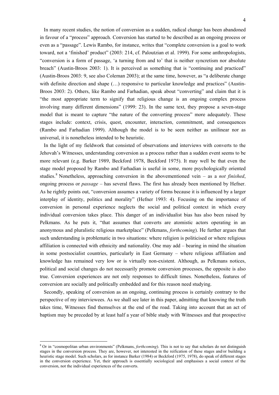In many recent studies, the notion of conversion as a sudden, radical change has been abandoned in favour of a "process" approach. Conversion has started to be described as an ongoing process or even as a "passage". Lewis Rambo, for instance, writes that "complete conversion is a goal to work toward, not a 'finished' product" (2003: 214, cf. Paloutzian et al. 1999). For some anthropologists, "conversion is a form of passage, 'a turning from and to' that is neither syncretism nor absolute breach" (Austin-Broos 2003: 1). It is perceived as something that is "continuing and practiced" (Austin-Broos 2003: 9, see also Coleman 2003); at the same time, however, as "a deliberate change with definite direction and shape (...) responsive to particular knowledge and practices" (Austin-Broos 2003: 2). Others, like Rambo and Farhadian, speak about "converting" and claim that it is "the most appropriate term to signify that religious change is an ongoing complex process involving many different dimensions" (1999: 23). In the same text, they propose a seven-stage model that is meant to capture "the nature of the converting process" more adequately. These stages include: context, crisis, quest, encounter, interaction, commitment, and consequences (Rambo and Farhadian 1999). Although the model is to be seen neither as unilinear nor as universal, it is nonetheless intended to be heuristic.

In the light of my fieldwork that consisted of observations and interviews with converts to the Jehovah's Witnesses, understanding conversion as a process rather than a sudden event seems to be more relevant (e.g. Barker 1989, Beckford 1978, Beckford 1975). It may well be that even the stage model proposed by Rambo and Farhadian is useful in some, more psychologically oriented studies.<sup>8</sup> Nonetheless, approaching conversion in the abovementioned vein – as a *not finished*, ongoing process or *passage* – has several flaws. The first has already been mentioned by Hefner. As he rightly points out, "conversion assumes a variety of forms because it is influenced by a larger interplay of identity, politics and morality" (Hefner 1993: 4). Focusing on the importance of conversion in personal experience neglects the social and political context in which every individual conversion takes place. This danger of an individualist bias has also been raised by Pelkmans. As he puts it, "that assumes that converts are atomistic actors operating in an anonymous and pluralistic religious marketplace" (Pelkmans, *forthcoming*). He further argues that such understanding is problematic in two situations: where religion is politicised or where religious affiliation is connected with ethnicity and nationality. One may add – bearing in mind the situation in some postsocialist countries, particularly in East Germany – where religious affiliation and knowledge has remained very low or is virtually non-existent. Although, as Pelkmans notices, political and social changes do not necessarily promote conversion processes, the opposite is also true. Conversion experiences are not only responses to difficult times. Nonetheless, features of conversion are socially and politically embedded and for this reason need studying.

Secondly, speaking of conversion as an ongoing, continuing process is certainly contrary to the perspective of my interviewees. As we shall see later in this paper, admitting that knowing the truth takes time, Witnesses find themselves at the end of the road. Taking into account that an act of baptism may be preceded by at least half a year of bible study with Witnesses and that prospective

 8 Or in "cosmopolitan urban environments" (Pelkmans, *forthcoming*). This is not to say that scholars do not distinguish stages in the conversion process. They are, however, not interested in the reification of these stages and/or building a heuristic stage model. Such scholars, as for instance Barker (1984) or Beckford (1975, 1978), do speak of different stages in the conversion experience. Yet, their approach is essentially sociological and emphasises a social context of the conversion, not the individual experiences of the converts.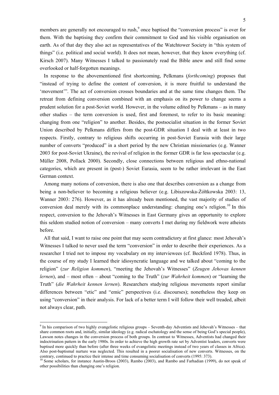members are generally not encouraged to rush,<sup>9</sup> once baptised the "conversion process" is over for them. With the baptising they confirm their commitment to God and his visible organisation on earth. As of that day they also act as representatives of the Watchtower Society in "this system of things" (i.e. political and social world). It does not mean, however, that they know everything (cf. Kirsch 2007). Many Witnesses I talked to passionately read the Bible anew and still find some overlooked or half-forgotten meanings.

In response to the abovementioned first shortcoming, Pelkmans (*forthcoming*) proposes that "instead of trying to define the content of conversion, it is more fruitful to understand the 'movement'". The act of conversion crosses boundaries and at the same time changes them. The retreat from defining conversion combined with an emphasis on its power to change seems a prudent solution for a post-Soviet world. However, in the volume edited by Pelkmans – as in many other studies – the term conversion is used, first and foremost, to refer to its basic meaning: changing from one "religion" to another. Besides, the postsocialist situation in the former Soviet Union described by Pelkmans differs from the post-GDR situation I deal with at least in two respects. Firstly, contrary to religious shifts occurring in post-Soviet Eurasia with their large number of converts "produced" in a short period by the new Christian missionaries (e.g. Wanner 2003 for post-Soviet Ukraine), the revival of religion in the former GDR is far less spectacular (e.g. Müller 2008, Pollack 2000). Secondly, close connections between religious and ethno-national categories, which are present in (post-) Soviet Eurasia, seem to be rather irrelevant in the East German context.

Among many notions of conversion, there is also one that describes conversion as a change from being a non-believer to becoming a religious believer (e.g. Libiszowska-Żółtkowska 2003: 13, Wanner 2003: 276). However, as it has already been mentioned, the vast majority of studies of conversion deal merely with its commonplace understanding: changing one's religion.<sup>10</sup> In this respect, conversion to the Jehovah's Witnesses in East Germany gives an opportunity to explore this seldom studied notion of conversion – many converts I met during my fieldwork were atheists before.

All that said, I want to raise one point that may seem contradictory at first glance: most Jehovah's Witnesses I talked to never used the term "conversion" in order to describe their experiences. As a researcher I tried not to impose my vocabulary on my interviewees (cf. Beckford 1978). Thus, in the course of my study I learned their idiosyncratic language and we talked about "coming to the religion" (*zur Religion kommen*), "meeting the Jehovah's Witnesses" (*Zeugen Jehovas kennen lernen*), and – most often – about "coming to the Truth" (*zur Wahrheit kommen*) or "learning the Truth" (*die Wahrheit kennen lernen*). Researchers studying religious movements report similar differences between "etic" and "emic" perspectives (i.e. discourses); nonetheless they keep on using "conversion" in their analysis. For lack of a better term I will follow their well treaded, albeit not always clear, path.

<sup>&</sup>lt;sup>9</sup> In his comparison of two highly evangelistic religious groups – Seventh-day Adventists and Jehovah's Witnesses – that share common roots and, initially, similar ideology (e.g. radical eschatology and the sense of being God's special people), Lawson notes changes in the conversion process of both groups. In contrast to Witnesses, Adventists had changed their indoctrination pattern in the early 1980s. In order to achieve the high growth rate set by Adventist leaders, converts were baptised more quickly than before (after three weeks of evangelistic meetings instead of two years of classes in Africa). Also post-baptismal nurture was neglected. This resulted in a poorer socialisation of new converts. Witnesses, on the contrary, continued to practice their intense and time consuming socialisation of converts (1995: 373).<br><sup>10</sup> Some scholars, for instance Austin-Broos (2003), Rambo (2003), and Rambo and Farhadian (1999), do not speak of

other possibilities than changing one's religion.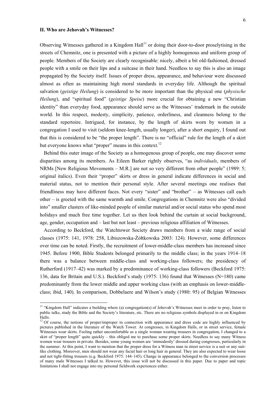#### **II. Who are Jehovah's Witnesses?**

1

Observing Witnesses gathered in a Kingdom  $Hall<sup>11</sup>$  or doing their door-to-door proselytising in the streets of Chemnitz, one is presented with a picture of a highly homogenous and uniform group of people. Members of the Society are clearly recognisable: nicely, albeit a bit old-fashioned, dressed people with a smile on their lips and a suitcase in their hand. Needless to say this is also an image propagated by the Society itself. Issues of proper dress, appearance, and behaviour were discussed almost as often as maintaining high moral standards in everyday life. Although the spiritual salvation (*geistige Heilung*) is considered to be more important than the physical one (*physische Heilung*), and "spiritual food" (*geistige Speise*) more crucial for obtaining a new "Christian identity" than everyday food, appearance should serve as the Witnesses' trademark in the outside world. In this respect, modesty, simplicity, patience, orderliness, and cleanness belong to the standard repertoire. Intrigued, for instance, by the length of skirts worn by women in a congregation I used to visit (seldom knee-length, usually longer), after a short enquiry, I found out that this is considered to be "the proper length". There is no "official" rule for the length of a skirt but everyone knows what "proper" means in this context.<sup>12</sup>

Behind this outer image of the Society as a homogenous group of people, one may discover some disparities among its members. As Eileen Barker rightly observes, "as *individuals*, members of NRMs [New Religious Movements – M.R.] are not so very different from other people" (1989: 5; original italics). Even their "proper" skirts or dress in general indicate differences in social and material status, not to mention their personal style. After several meetings one realises that friendliness may have different faces. Not every "sister" and "brother" – as Witnesses call each other – is greeted with the same warmth and smile. Congregations in Chemnitz were also "divided into" smaller clusters of like-minded people of similar material and/or social status who spend most holidays and much free time together. Let us then look behind the curtain at social background, age, gender, occupation and – last but not least – previous religious affiliation of Witnesses.

According to Beckford, the Watchtower Society draws members from a wide range of social classes (1975: 141, 1978: 258, Libiszowska-Żółtkowska 2003: 124). However, some differences over time can be noted. Firstly, the recruitment of lower-middle-class members has increased since 1945. Before 1900, Bible Students belonged primarily to the middle class; in the years 1914–18 there was a balance between middle-class and working-class followers; the presidency of Rutherford (1917–42) was marked by a predominance of working-class followers (Beckford 1975: 136, data for Britain and U.S.). Beckford's study (1975: 136) found that Witnesses (N=180) came predominantly from the lower middle and upper working class (with an emphasis on lower-middleclass; ibid, 140). In comparison, Dobbelaere and Wilson's study (1980: 95) of Belgian Witnesses

<sup>&</sup>lt;sup>11</sup> "Kingdom Hall" indicates a building where (a) congregation(s) of Jehovah's Witnesses meet in order to pray, listen to public talks, study the Bible and the Society's literature, etc. There are no religious symbols displayed in or on Kingdom Halls.

 $12$  Of course, the notions of proper/improper in connection with appearance and dress code are highly influenced by pictures published in the literature of the Watch Tower. At congresses, in Kingdom Halls, or in street service, female Witnesses wear skirts. Feeling rather uncomfortable as a single woman wearing trousers in congregation, I changed to a skirt of "proper length" quite quickly – this obliged me to purchase some proper skirts. Needless to say many Witness women wear trousers in private. Besides, some young women are 'immodestly' dressed during congresses, particularly in the summer. At this point, I want to mention that the proper dress for a Witness man in street service is a suit or any suitlike clothing. Moreover, men should not wear any facial hair or long hair in general. They are also expected to wear loose and not tight-fitting trousers (e.g. Beckford 1975: 144–145). Change in appearance belonged to the conversion processes of many male Witnesses I talked to. However, this issue will not be discussed in this paper. Due to paper and topic limitations I shall not engage into my personal fieldwork experiences either.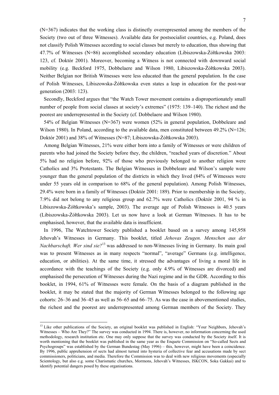(N=367) indicates that the working class is distinctly overrepresented among the members of the Society (two out of three Witnesses). Available data for postsocialist countries, e.g. Poland, does not classify Polish Witnesses according to social classes but merely to education, thus showing that 47.7% of Witnesses (N=86) accomplished secondary education (Libiszowska-Żółtkowska 2003: 123, cf. Doktór 2001). Moreover, becoming a Witness is not connected with downward social mobility (e.g. Beckford 1975, Dobbelaere and Wilson 1980, Libiszowska-Żółtkowska 2003). Neither Belgian nor British Witnesses were less educated than the general population. In the case of Polish Witnesses, Libiszowska-Żółtkowska even states a leap in education for the post-war generation (2003: 123).

Secondly, Beckford argues that "the Watch Tower movement contains a disproportionately small number of people from social classes at society's extremes" (1975: 139–140). The richest and the poorest are underrepresented in the Society (cf. Dobbelaere and Wilson 1980).

54% of Belgian Witnesses (N=367) were women (52% in general population, Dobbeleare and Wilson 1980). In Poland, according to the available data, men constituted between 49.2% (N=126; Doktór 2001) and 38% of Witnesses (N=87; Libiszowska-Żółtkowska 2003).

Among Belgian Witnesses, 21% were either born into a family of Witnesses or were children of parents who had joined the Society before they, the children, "reached years of discretion." About 5% had no religion before, 92% of those who previously belonged to another religion were Catholics and 3% Protestants. The Belgian Witnesses in Dobbeleare and Wilson's sample were younger than the general population of the districts in which they lived (84% of Witnesses were under 55 years old in comparison to 68% of the general population). Among Polish Witnesses, 29.4% were born in a family of Witnesses (Doktór 2001: 189). Prior to membership in the Society, 7.9% did not belong to any religious group and 62.7% were Catholics (Doktór 2001, 94 % in Libiszowska-Żółtkowska's sample, 2003). The average age of Polish Witnesses is 40.5 years (Libiszowska-Żółtkowska 2003). Let us now have a look at German Witnesses. It has to be emphasised, however, that the available data is insufficient.

In 1996, The Watchtower Society published a booklet based on a survey among 145,958 Jehovah's Witnesses in Germany. This booklet, titled *Jehovas Zeugen. Menschen aus der Nachbarschaft. Wer sind sie?*13 was addressed to non-Witnesses living in Germany. Its main goal was to present Witnesses as in many respects "normal", "average" Germans (e.g. intelligence, education, or abilities). At the same time, it stressed the advantages of living a moral life in accordance with the teachings of the Society (e.g. only 4.9% of Witnesses are divorced) and emphasised the persecution of Witnesses during the Nazi regime and in the GDR. According to this booklet, in 1994, 61% of Witnesses were female. On the basis of a diagram published in the booklet, it may be stated that the majority of German Witnesses belonged to the following age cohorts: 26–36 and 36–45 as well as 56–65 and 66–75. As was the case in abovementioned studies, the richest and the poorest are underrepresented among German members of the Society. They

 $13$  Like other publications of the Society, an original booklet was published in English: "Your Neighbors, Jehovah's Witnesses – Who Are They?" The survey was conducted in 1994. There is, however, no information concerning the used methodology, research institution etc. One may only suppose that the survey was conducted by the Society itself. It is worth mentioning that the booklet was published in the same year as the Enquete Commission on "So-called Sects and Psychogroups" was established by the German Bundestag (May 1996) – this, however, might have been a coincidence. By 1996, public apprehension of sects had almost turned into hysteria of collective fear and accusations made by sect commissioners, politicians, and media. Therefore the Commission was to deal with new religious movements (especially Scientology, but also e.g. some Charismatic churches, Mormons, Jehovah's Witnesses, ISKCON, Soka Gakkai) and to identify potential dangers posed by these organisations.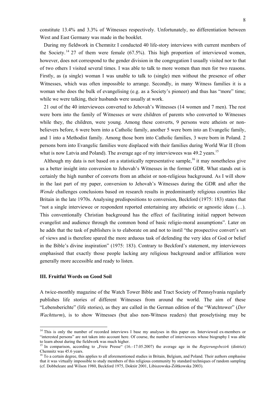constitute 13.4% and 3.3% of Witnesses respectively. Unfortunately, no differentiation between West and East Germany was made in the booklet.

During my fieldwork in Chemnitz I conducted 40 life-story interviews with current members of the Society.<sup>14</sup> 27 of them were female  $(67.5\%)$ . This high proportion of interviewed women, however, does not correspond to the gender division in the congregation I usually visited nor to that of two others I visited several times. I was able to talk to more women than men for two reasons. Firstly, as (a single) woman I was unable to talk to (single) men without the presence of other Witnesses, which was often impossible to arrange. Secondly, in many Witness families it is a woman who does the bulk of evangelising (e.g. as a Society's pioneer) and thus has "more" time; while we were talking, their husbands were usually at work.

21 out of the 40 interviewees converted to Jehovah's Witnesses (14 women and 7 men). The rest were born into the family of Witnesses or were children of parents who converted to Witnesses while they, the children, were young. Among these converts, 9 persons were atheists or nonbelievers before, 6 were born into a Catholic family, another 5 were born into an Evangelic family, and 1 into a Methodist family. Among those born into Catholic families, 3 were born in Poland. 2 persons born into Evangelic families were displaced with their families during World War II (from what is now Latvia and Poland). The average age of my interviewees was 49.2 years.<sup>15</sup>

Although my data is not based on a statistically representative sample,<sup>16</sup> it may nonetheless give us a better insight into conversion to Jehovah's Witnesses in the former GDR. What stands out is certainly the high number of converts from an atheist or non-religious background. As I will show in the last part of my paper, conversion to Jehovah's Witnesses during the GDR and after the *Wende* challenges conclusions based on research results in predominantly religious countries like Britain in the late 1970s. Analysing predispositions to conversion, Beckford (1975: 183) states that "not a single interviewee or respondent reported entertaining any atheistic or agnostic ideas (…). This conventionally Christian background has the effect of facilitating initial rapport between evangelist and audience through the common bond of basic religio-moral assumptions". Later on he adds that the task of publishers is to elaborate on and not to instil "the prospective convert's set of views and is therefore spared the more arduous task of defending the very idea of God or belief in the Bible's divine inspiration" (1975: 183). Contrary to Beckford's statement, my interviewees emphasised that exactly those people lacking any religious background and/or affiliation were generally more accessible and ready to listen.

#### **III. Fruitful Words on Good Soil**

1

A twice-monthly magazine of the Watch Tower Bible and Tract Society of Pennsylvania regularly publishes life stories of different Witnesses from around the world. The aim of these "Lebensberichte" (life stories), as they are called in the German edition of the "Watchtower" (*Der Wachtturm*), is to show Witnesses (but also non-Witness readers) that proselytising may be

<sup>&</sup>lt;sup>14</sup> This is only the number of recorded interviews I base my analyses in this paper on. Interviewed ex-members or "interested persons" are not taken into account here. Of course, the number of interviewees whose biography I was able to learn about during the fieldwork was much higher.

<sup>&</sup>lt;sup>15</sup> In comparison, according to "Freie Presse" (16.–17.05.2007) the average age in the *Regierungsbezirk* (district) Chemnitz was 45.6 years.

 $<sup>16</sup>$  To a certain degree, this applies to all aforementioned studies in Britain, Belgium, and Poland. Their authors emphasise</sup> that it was virtually impossible to study members of this religious community by standard techniques of random sampling (cf. Dobbeleare and Wilson 1980, Beckford 1975, Doktór 2001, Libiszowska-Żółtkowska 2003).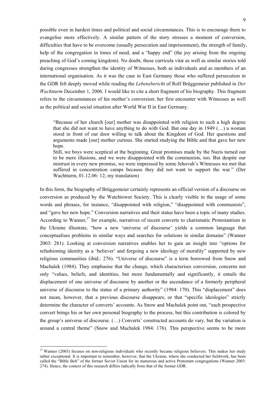possible even in hardest times and political and social circumstances. This is to encourage them to evangelise more effectively. A similar pattern of the story stresses a moment of conversion, difficulties that have to be overcome (usually persecution and imprisonment), the strength of family, help of the congregation in times of need, and a "happy end" (the joy arising from the ongoing preaching of God's coming kingdom). No doubt, these curricula vitæ as well as similar stories told during congresses strengthen the identity of Witnesses, both as individuals and as members of an international organisation. As it was the case in East Germany those who suffered persecution in the GDR felt deeply moved while reading the *Lebensbericht* of Rolf Brüggemeier published in *Der Wachtturm* December 1, 2006. I would like to cite a short fragment of his biography. This fragment refers to the circumstances of his mother's conversion: her first encounter with Witnesses as well as the political and social situation after World War II in East Germany.

"Because of her church [our] mother was disappointed with religion to such a high degree that she did not want to have anything to do with God. But one day in 1949 (…) a woman stood in front of our door willing to talk about the Kingdom of God. Her questions and arguments made [our] mother curious. She started studying the Bible and that gave her new hope.

Still, we boys were sceptical at the beginning. Great promises made by the Nazis turned out to be mere illusions, and we were disappointed with the communists, too. But despite our mistrust in every new promise, we were impressed by some Jehovah's Witnesses we met that suffered in concentration camps because they did not want to support the war." (Der Wachtturm, 01.12.06: 12; my translation)

In this form, the biography of Brüggemeier certainly represents an official version of a discourse on conversion as produced by the Watchtower Society. This is clearly visible in the usage of some words and phrases, for instance, "disappointed with religion," "disappointed with communists", and "gave her new hope." Conversion narratives and their status have been a topic of many studies. According to Wanner,<sup>17</sup> for example, narratives of recent converts to charismatic Protestantism in the Ukraine illustrate, "how a new 'universe of discourse' yields a common language that conceptualises problems in similar ways and searches for solutions in similar domains" (Wanner 2003: 281). Looking at conversion narratives enables her to gain an insight into "options for refashioning identity as a 'believer' and forgoing a new ideology of morality" supported by new religious communities (ibid.: 276). "Universe of discourse" is a term borrowed from Snow and Machalek (1984). They emphasise that the change, which characterises conversion, concerns not only "values, beliefs, and identities, but more fundamentally and significantly, it entails the displacement of one universe of discourse by another or the ascendance of a formerly peripheral universe of discourse to the status of a primary authority" (1984: 170). This "displacement" does not mean, however, that a previous discourse disappears, or that "specific ideologies" strictly determine the character of converts' accounts. As Snow and Machalek point out, "each prospective convert brings his or her own personal biography to the process, but this contribution is colored by the group's universe of discourse. (…) Converts' constructed accounts do vary, but the variation is around a central theme" (Snow and Machalek 1984: 176). This perspective seems to be more

 $17$  Wanner (2003) focuses on non-religious individuals who recently became religious believers. This makes her study rather exceptional. It is important to remember, however, that the Ukraine, where she conducted her fieldwork, has been called the "Bible Belt" of the former Soviet Union for its numerous and active Protestant congregations (Wanner 2003: 274). Hence, the context of this research differs radically from that of the former GDR.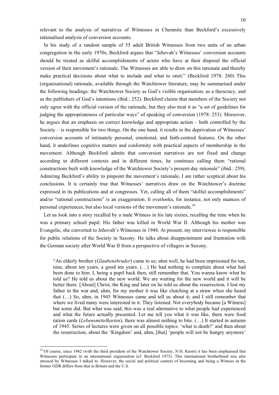relevant to the analysis of narratives of Witnesses in Chemnitz than Beckford's excessively rationalised analysis of conversion accounts.

In his study of a random sample of 55 adult British Witnesses from two units of an urban congregation in the early 1970s, Beckford argues that "Jehovah's Witnesses' conversion accounts should be treated as skilful accomplishments of actors who have at their disposal the official version of their movement's rationale. The Witnesses are able to draw on this rationale and thereby make practical decisions about what to include and what to omit." (Beckford 1978: 260) This (organisational) rationale, available through the Watchtower literature, may be summarised under the following headings: the Watchtower Society as God's visible organisation, as a theocracy, and as the publishers of God's intentions (ibid.: 252). Beckford claims that members of the Society not only agree with the official version of the rationale, but they also treat it as "a set of guidelines for judging the appropriateness of particular ways" of speaking of conversion (1978: 253). Moreover, he argues that an emphasis on correct knowledge and appropriate action – both controlled by the Society – is responsible for two things. On the one hand, it results in the deprivation of Witnesses' conversion accounts of intimately personal, emotional, and faith-centred features. On the other hand, it underlines cognitive matters and conformity with practical aspects of membership in the movement. Although Beckford admits that conversion narratives are not fixed and change according to different contexts and in different times, he continues calling them "rational constructions built with knowledge of the Watchtower Society's present-day rationale" (ibid.: 259). Admiring Beckford's ability to pinpoint the movement's rationale, I am rather sceptical about his conclusions. It is certainly true that Witnesses' narratives draw on the Watchtower's doctrine expressed in its publications and at congresses. Yet, calling all of them "skilful accomplishments" and/or "rational constructions" is an exaggeration. It overlooks, for instance, not only nuances of personal experiences, but also local versions of the movement's rationale.<sup>18</sup>

Let us look into a story recalled by a male Witness in his late sixties, recalling the time when he was a primary school pupil. His father was killed in World War II. Although his mother was Evangelic, she converted to Jehovah's Witnesses in 1948. At present, my interviewee is responsible for public relations of the Society in Saxony. He talks about disappointment and frustration with the German society after World War II from a perspective of villagers in Saxony.

"An elderly brother (*Glaubensbruder*) came to us; uhm well, he had been imprisoned for ten, nine, about ten years, a good ten years. (…) He had nothing to complain about what had been done to him. I, being a pupil back then, still remember that. You wanna know what he told us? He told us about the new world. We are waiting for the new world and it will be better there. [About] Christ, the King and later on he told us about the resurrection. I lost my father in the war and, uhm, for my mother it was like clutching at a straw when she heard that (…) So, uhm, in 1945 Witnesses came and tell us about it; and I still remember that where we lived many were interested in it. They listened. Not everybody became [a Witness] but some did. But what was said, this was a real alternative to what people had experienced and what the future actually presented. Let me tell you what it was like, there were food ration cards (*Lebensmittelkarten*), there was almost nothing to bite. (…) It started in autumn of 1945. Series of lectures were given on all possible topics: 'what is death?' and then about the resurrection, about the 'Kingdom' and, uhm, [that] 'people will not be hungry anymore'

<sup>&</sup>lt;sup>18</sup> Of course, since 1942 (with the third president of the Watchtower Society, N.H. Knorr) it has been emphasised that Witnesses participate in an international organisation (cf. Beckford 1975). This international brotherhood was also stressed by Witnesses I talked to. However, the social and political context of becoming and being a Witness in the former GDR differs from that in Britain and the U.S.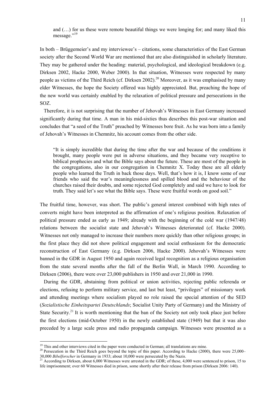and (…) for us these were remote beautiful things we were longing for; and many liked this message."<sup>19</sup>

In both – Brüggemeier's and my interviewee's – citations, some characteristics of the East German society after the Second World War are mentioned that are also distinguished in scholarly literature. They may be gathered under the heading: material, psychological, and ideological breakdown (e.g. Dirksen 2002, Hacke 2000, Weber 2000). In that situation, Witnesses were respected by many people as victims of the Third Reich (cf. Dirksen 2002).<sup>20</sup> Moreover, as it was emphasised by many elder Witnesses, the hope the Society offered was highly appreciated. But, preaching the hope of the new world was certainly enabled by the relaxation of political pressure and persecutions in the SOZ.

Therefore, it is not surprising that the number of Jehovah's Witnesses in East Germany increased significantly during that time. A man in his mid-sixties thus describes this post-war situation and concludes that "a seed of the Truth" preached by Witnesses bore fruit. As he was born into a family of Jehovah's Witnesses in Chemnitz, his account comes from the other side.

"It is simply incredible that during the time after the war and because of the conditions it brought, many people were put in adverse situations, and they became very receptive to biblical prophecies and what the Bible says about the future. These are most of the people in the congregations, also in our congregation in Chemnitz X. Today these are all elderly people who learned the Truth in back those days. Well, that's how it is, I know some of our friends who said the war's meaninglessness and spilled blood and the behaviour of the churches raised their doubts, and some rejected God completely and said we have to look for truth. They said let's see what the Bible says. These were fruitful words on good soil."

The fruitful time, however, was short. The public's general interest combined with high rates of converts might have been interpreted as the affirmation of one's religious position. Relaxation of political pressure ended as early as 1949; already with the beginning of the cold war (1947/48) relations between the socialist state and Jehovah's Witnesses deteriorated (cf. Hacke 2000). Witnesses not only managed to increase their numbers more quickly than other religious groups; in the first place they did not show political engagement and social enthusiasm for the democratic reconstruction of East Germany (e.g. Dirksen 2006, Hacke 2000). Jehovah's Witnesses were banned in the GDR in August 1950 and again received legal recognition as a religious organisation from the state several months after the fall of the Berlin Wall, in March 1990. According to Dirksen (2006), there were over 23,000 publishers in 1950 and over 21,000 in 1990.

During the GDR, abstaining from political or union activities, rejecting public referenda or elections, refusing to perform military service, and last but least, "privileges" of missionary work and attending meetings where socialism played no role raised the special attention of the SED (*Sozialistische Einheitspartei Deutschlands*; Socialist Unity Party of Germany) and the Ministry of State Security.<sup>21</sup> It is worth mentioning that the ban of the Society not only took place just before the first elections (mid-October 1950) in the newly established state (1949) but that it was also preceded by a large scale press and radio propaganda campaign. Witnesses were presented as a

 $19$  This and other interviews cited in the paper were conducted in German; all translations are mine.

<sup>&</sup>lt;sup>20</sup> Persecution in the Third Reich goes beyond the topic of this paper. According to Hacke (2000), there were  $25,000-$ 30,000 *Bibelforscher* in Germany in 1933; about 10,000 were persecuted by the Nazis.<br><sup>21</sup> According to Dirksen, about 6,000 Witnesses were arrested in the GDR; of these, 4,000 were sentenced to prison, 15 to

life imprisonment; over 60 Witnesses died in prison, some shortly after their release from prison (Dirksen 2006: 140).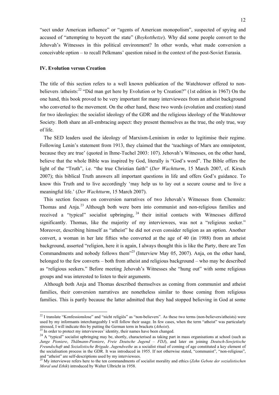"sect under American influence" or "agents of American monopolism", suspected of spying and accused of "attempting to boycott the state" (*Boykotthetze*). Why did some people convert to the Jehovah's Witnesses in this political environment? In other words, what made conversion a conceivable option – to recall Pelkmans' question raised in the context of the post-Soviet Eurasia.

#### **IV. Evolution versus Creation**

The title of this section refers to a well known publication of the Watchtower offered to nonbelievers /atheists:<sup>22</sup> "Did man get here by Evolution or by Creation?" (1st edition in 1967) On the one hand, this book proved to be very important for many interviewees from an atheist background who converted to the movement. On the other hand, these two words (evolution and creation) stand for two ideologies: the socialist ideology of the GDR and the religious ideology of the Watchtower Society. Both share an all-embracing aspect: they present themselves as the true, the only true, way of life.

The SED leaders used the ideology of Marxism-Leninism in order to legitimise their regime. Following Lenin's statement from 1913, they claimed that the 'teachings of Marx are omnipotent, because they are true' (quoted in Ihme-Tuchel 2003: 107). Jehovah's Witnesses, on the other hand, believe that the whole Bible was inspired by God, literally is "God's word". The Bible offers the light of the "Truth", i.e. "the true Christian faith" (*Der Wachtturm*, 15 March 2007, cf. Kirsch 2007); this biblical Truth answers all important questions in life and offers God's guidance. To know this Truth and to live accordingly 'may help us to lay out a secure course and to live a meaningful life.' (*Der Wachtturm*, 15 March 2007).

This section focuses on conversion narratives of two Jehovah's Witnesses from Chemnitz: Thomas and Anja.23 Although both were born into communist and non-religious families and received a "typical" socialist upbringing,  $24$  their initial contacts with Witnesses differed significantly. Thomas, like the majority of my interviewees, was not a "religious seeker." Moreover, describing himself as "atheist" he did not even consider religion as an option. Another convert, a woman in her late fifties who converted at the age of 40 (in 1988) from an atheist background, asserted "religion, here it is again, I always thought this is like the Party, there are Ten Commandments and nobody follows them"25 (Interview May 05, 2007). Anja, on the other hand, belonged to the few converts – both from atheist and religious background – who may be described as "religious seekers." Before meeting Jehovah's Witnesses she "hung out" with some religious groups and was interested to listen to their arguments.

Although both Anja and Thomas described themselves as coming from communist and atheist families, their conversion narratives are nonetheless similar to those coming from religious families. This is partly because the latter admitted that they had stopped believing in God at some

1

 $^{22}$  I translate "Konfessionslose" and "nicht religiös" as "non-believers". As these two terms (non-believers/atheists) were used by my informants interchangeably I will follow their usage. In few cases, when the term "atheist" was particularly stressed, I will indicate this by putting the German term in brackets (*Atheist*).<sup>23</sup> In order to protect my interviewees' identity, their names have been changed.

<sup>&</sup>lt;sup>24</sup> A "typical" socialist upbringing may be, shortly, characterised as taking part in mass organisations at school (such as *Junge Pioniere*, *Thälmann-Pioniere*, *Freie Deutsche Jugend – FDJ*), and later on joining *Deutsch-Sowjetische Freundschaft* and *Sozialistische Brigade*. *Jugendweihe* as a socialist ritual of coming of age constituted a key element of the socialisation process in the GDR. It was introduced in 1955. If not otherwise stated, "communist", "non-religious", and "atheist" are self-descriptions used by my interviewees.

<sup>25</sup> My interviewee refers here to the ten commandments of socialist morality and ethics (*Zehn Gebote der sozialistischen Moral und Ethik*) introduced by Walter Ulbricht in 1958.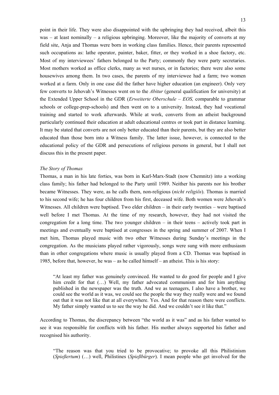point in their life. They were also disappointed with the upbringing they had received, albeit this  $was - at least nominally - a religious upbringing. Moreover, like the majority of converts at my$ field site, Anja and Thomas were born in working class families. Hence, their parents represented such occupations as: lathe operator, painter, baker, fitter, or they worked in a shoe factory, etc. Most of my interviewees' fathers belonged to the Party; commonly they were party secretaries. Most mothers worked as office clerks, many as wet nurses, or in factories; there were also some housewives among them. In two cases, the parents of my interviewee had a farm; two women worked at a farm. Only in one case did the father have higher education (an engineer). Only very few converts to Jehovah's Witnesses went on to the *Abitur* (general qualification for university) at the Extended Upper School in the GDR (*Erweiterte Oberschule – EOS,* comparable to grammar schools or college-prep-schools) and then went on to a university. Instead, they had vocational training and started to work afterwards. While at work, converts from an atheist background particularly continued their education at adult educational centres or took part in distance learning. It may be stated that converts are not only better educated than their parents, but they are also better educated than those born into a Witness family. The latter issue, however, is connected to the educational policy of the GDR and persecutions of religious persons in general, but I shall not discuss this in the present paper.

#### *The Story of Thomas*

Thomas, a man in his late forties, was born in Karl-Marx-Stadt (now Chemnitz) into a working class family; his father had belonged to the Party until 1989. Neither his parents nor his brother became Witnesses. They were, as he calls them, non-religious (*nicht religiös*). Thomas is married to his second wife; he has four children from his first, deceased wife. Both women were Jehovah's Witnesses. All children were baptised. Two elder children – in their early twenties – were baptised well before I met Thomas. At the time of my research, however, they had not visited the congregation for a long time. The two younger children – in their teens – actively took part in meetings and eventually were baptised at congresses in the spring and summer of 2007. When I met him, Thomas played music with two other Witnesses during Sunday's meetings in the congregation. As the musicians played rather vigorously, songs were sung with more enthusiasm than in other congregations where music is usually played from a CD. Thomas was baptised in 1985, before that, however, he was – as he called himself – an atheist. This is his story:

"At least my father was genuinely convinced. He wanted to do good for people and I give him credit for that (...) Well, my father advocated communism and for him anything published in the newspaper was the truth. And we as teenagers, I also have a brother, we could see the world as it was, we could see the people the way they really were and we found out that it was not like that at all everywhere. Yes. And for that reason there were conflicts. My father simply wanted us to see the way he did. And we couldn't see it like that."

According to Thomas, the discrepancy between "the world as it was" and as his father wanted to see it was responsible for conflicts with his father. His mother always supported his father and recognised his authority.

"The reason was that you tried to be provocative; to provoke all this Philistinism (*Spießertum*) (…) well, Philistines (*Spießbürger*). I mean people who get involved for the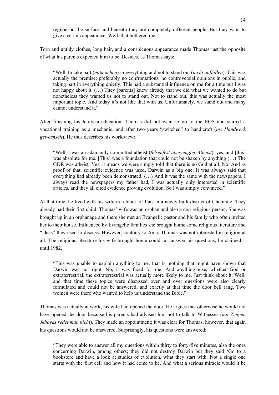regime on the surface and beneath they are completely different people. But they want to give a certain appearance. Well, that bothered me."

Torn and untidy clothes, long hair, and a conspicuous appearance made Thomas just the opposite of what his parents expected him to be. Besides, as Thomas says:

"Well, to take part (*mitmachen*) in everything and not to stand out (*nicht auffallen*). This was actually the premise; preferably no confrontations, no controversial opinions in public, and taking part in everything quietly. This had a substantial influence on me for a time but I was not happy about it. (…) They [parents] knew already that we did what we wanted to do but nonetheless they wanted us not to stand out. Not to stand out, this was actually the most important topic. And today it's not like that with us. Unfortunately, we stand out and many cannot understand it."

After finishing his ten-year-education, Thomas did not want to go to the EOS and started a vocational training as a mechanic, and after two years "switched" to handicraft (*ins Handwerk gewechselt*). He thus describes his worldview:

"Well, I was an adamantly committed atheist (*felsenfest überzeugter Atheist*), yes, and [this] was absolute for me. [This] was a foundation that could not be shaken by anything (…) The GDR was atheist. Yes, it means we were simply told that there is no God at all. No. And as proof of that, scientific evidence was used. Darwin as a big one. It was always said that everything had already been demonstrated.  $(\ldots)$  And it was the same with the newspapers. I always read the newspapers my father had, I was actually only interested in scientific articles, and they all cited evidence proving evolution. So I was simply convinced."

At that time, he lived with his wife in a block of flats in a newly built district of Chemnitz. They already had their first child. Thomas' wife was an orphan and also a non-religious person. She was brought up in an orphanage and there she met an Evangelic pastor and his family who often invited her to their house. Influenced by Evangelic families she brought home some religious literature and "ideas" they used to discuss. However, contrary to Anja, Thomas was not interested in religion at all. The religious literature his wife brought home could not answer his questions, he claimed – until 1982.

"This was unable to explain anything to me, that is, nothing that might have shown that Darwin was not right. No, it was fixed for me. And anything else, whether God or extraterrestrial, the extraterrestrial was actually more likely to me. Just think about it. Well, and that time these topics were discussed over and over questions were also clearly formulated and could not be answered, and exactly at that time the door bell rang. Two women were there who wanted to help us understand the Bible."

Thomas was actually at work, his wife had opened the door. He argues that otherwise he would not have opened the door because his parents had advised him not to talk to Witnesses (*mit Zeugen Jehovas redet man nicht*). They made an appointment; it was clear for Thomas, however, that again his questions would not be answered. Surprisingly, his questions were answered:

"They were able to answer all my questions within thirty to forty-five minutes, also the ones concerning Darwin, among others; they did not destroy Darwin but they said 'Go to a bookstore and have a look at studies of evolution, what they start with. Not a single one starts with the first cell and how it had come to be. And what a serious miracle would it be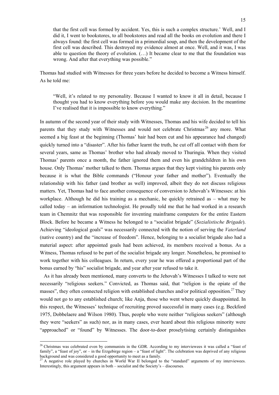that the first cell was formed by accident. Yes, this is such a complex structure.' Well, and I did it, I went to bookstores, to all bookstores and read all the books on evolution and there I always found: the first cell was formed in a primordial soup, and then the development of the first cell was described. This destroyed my evidence almost at once. Well, and it was, I was able to question the theory of evolution. (…) It became clear to me that the foundation was wrong. And after that everything was possible."

Thomas had studied with Witnesses for three years before he decided to become a Witness himself. As he told me:

"Well, it's related to my personality. Because I wanted to know it all in detail, because I thought you had to know everything before you would make any decision. In the meantime I've realised that it is impossible to know everything."

In autumn of the second year of their study with Witnesses, Thomas and his wife decided to tell his parents that they study with Witnesses and would not celebrate Christmas<sup>26</sup> any more. What seemed a big feast at the beginning (Thomas' hair had been cut and his appearance had changed) quickly turned into a "disaster". After his father learnt the truth, he cut off all contact with them for several years, same as Thomas' brother who had already moved to Thuringia. When they visited Thomas' parents once a month, the father ignored them and even his grandchildren in his own house. Only Thomas' mother talked to them. Thomas argues that they kept visiting his parents only because it is what the Bible commands ("Honour your father and mother"). Eventually the relationship with his father (and brother as well) improved, albeit they do not discuss religious matters. Yet, Thomas had to face another consequence of conversion to Jehovah's Witnesses: at his workplace. Although he did his training as a mechanic, he quickly retrained as – what may be called today – an information technologist. He proudly told me that he had worked in a research team in Chemnitz that was responsible for inventing mainframe computers for the entire Eastern Block. Before he became a Witness he belonged to a "socialist brigade" (*Sozialistische Brigade*). Achieving "ideological goals" was necessarily connected with the notion of serving the *Vaterland* (native country) and the "increase of freedom". Hence, belonging to a socialist brigade also had a material aspect: after appointed goals had been achieved, its members received a bonus. As a Witness, Thomas refused to be part of the socialist brigade any longer. Nonetheless, he promised to work together with his colleagues. In return, every year he was offered a proportional part of the bonus earned by "his" socialist brigade, and year after year refused to take it.

As it has already been mentioned, many converts to the Jehovah's Witnesses I talked to were not necessarily "religious seekers." Convicted, as Thomas said, that "religion is the opiate of the masses", they often connected religion with established churches and/or political opposition.<sup>27</sup> They would not go to any established church; like Anja, those who went where quickly disappointed. In this respect, the Witnesses' technique of recruiting proved successful in many cases (e.g. Beckford 1975, Dobbelaere and Wilson 1980). Thus, people who were neither "religious seekers" (although they were "seekers" as such) nor, as in many cases, ever heard about this religious minority were "approached" or "found" by Witnesses. The door-to-door proselytising certainly distinguishes

1

<sup>&</sup>lt;sup>26</sup> Christmas was celebrated even by communists in the GDR. According to my interviewees it was called a "feast of family", a "feast of joy", or – in the Erzgebirge region – a "feast of light". The celebration was deprived of any religious background and was considered a good opportunity to meet as a family.

A negative role played by churches in World War II belonged to the "standard" arguments of my interviewees. Interestingly, this argument appears in both – socialist and the Society's – discourses.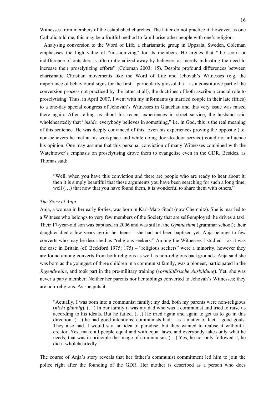Witnesses from members of the established churches. The latter do not practice it; however, as one Catholic told me, this may be a fruitful method to familiarise other people with one's religion.

Analysing conversion to the Word of Life, a charismatic group in Uppsala, Sweden, Coleman emphasises the high value of "missionizing" for its members. He argues that "the scorn or indifference of outsiders is often rationalized away by believers as merely indicating the need to increase their proselytizing efforts" (Coleman 2003: 15). Despite profound differences between charismatic Christian movements like the Word of Life and Jehovah's Witnesses (e.g. the importance of behavioural signs for the first – particularly glossolalia – as a constitutive part of the conversion process not practiced by the latter at all), the doctrines of both ascribe a crucial role to proselytising. Thus, in April 2007, I went with my informants (a married couple in their late fifties) to a one-day special congress of Jehovah's Witnesses in Glauchau and this very issue was raised there again. After telling us about his recent experiences in street service, the husband said wholeheartedly that "*inside,* everybody believes in something," i.e. in God, this is the real meaning of this sentence. He was deeply convinced of this. Even his experiences proving the opposite (i.e. non-believers he met at his workplace and while doing door-to-door service) could not influence his opinion. One may assume that this personal conviction of many Witnesses combined with the Watchtower's emphasis on proselytising drove them to evangelise even in the GDR. Besides, as Thomas said:

"Well, when you have this conviction and there are people who are ready to hear about it, then it is simply beautiful that these arguments you have been searching for such a long time, well (…) that now that you have found them, it is wonderful to share them with others."

#### *The Story of Anja*

Anja, a woman in her early forties, was born in Karl-Marx-Stadt (now Chemnitz). She is married to a Witness who belongs to very few members of the Society that are self-employed: he drives a taxi. Their 17-year-old son was baptised in 2006 and was still at the *Gymnasium* (grammar school); their daughter died a few years ago in her teens – she had not been baptised yet. Anja belongs to few converts who may be described as "religious seekers." Among the Witnesses I studied – as it was the case in Britain (cf. Beckford 1975: 175) – "religious seekers" were a minority, however they are found among converts from both religious as well as non-religious backgrounds. Anja said she was born as the youngest of three children in a communist family, was a pioneer, participated in the *Jugendweihe*, and took part in the pre-military training (*vormilitärische Ausbildung*). Yet, she was never a party member. Neither her parents nor her siblings converted to Jehovah's Witnesses; they are non-religious. As she puts it:

"Actually, I was born into a communist family; my dad, both my parents were non-religious (*nicht gläubig*). (…) In our family it was my dad who was a communist and tried to raise us according to his ideals. But he failed. (…) He tried again and again to get us to go in this direction.  $(...)$  he had good intentions; communists had – as a matter of fact – good goals. They also had, I would say, an idea of paradise, but they wanted to realise it without a creator. Yes, make all people equal and with equal laws, and everybody takes only what he needs; that was in principle the image of communism. (…) Yes, he not only followed it, he did it wholeheartedly."

The course of Anja's story reveals that her father's communist commitment led him to join the police right after the founding of the GDR. Her mother is described as a person who does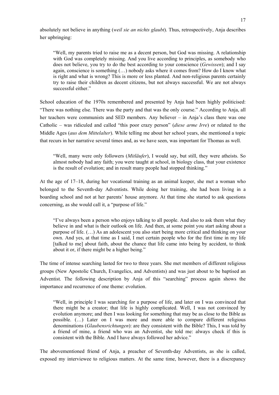absolutely not believe in anything (*weil sie an nichts glaubt*). Thus, retrospectively, Anja describes her upbringing:

"Well, my parents tried to raise me as a decent person, but God was missing. A relationship with God was completely missing. And you live according to principles, as somebody who does not believe, you try to do the best according to your conscience (*Gewissen*); and I say again, conscience is something (…) nobody asks where it comes from? How do I know what is right and what is wrong? This is more or less planted. And non-religious parents certainly try to raise their children as decent citizens, but not always successful. We are not always successful either."

School education of the 1970s remembered and presented by Anja had been highly politicised: "There was nothing else. There was the party and that was the only course." According to Anja, all her teachers were communists and SED members. Any believer – in Anja's class there was one Catholic – was ridiculed and called "this poor crazy person" (*diese arme Irre*) or related to the Middle Ages (*aus dem Mittelalter*). While telling me about her school years, she mentioned a topic that recurs in her narrative several times and, as we have seen, was important for Thomas as well.

"Well, many were only followers (*Mitläufer*), I would say, but still, they were atheists. So almost nobody had any faith; you were taught at school, in biology class, that your existence is the result of evolution; and in result many people had stopped thinking."

At the age of 17–18, during her vocational training as an animal keeper, she met a woman who belonged to the Seventh-day Adventists. While doing her training, she had been living in a boarding school and not at her parents' house anymore. At that time she started to ask questions concerning, as she would call it, a "purpose of life."

"I've always been a person who enjoys talking to all people. And also to ask them what they believe in and what is their outlook on life. And then, at some point you start asking about a purpose of life. (…) As an adolescent you also start being more critical and thinking on your own. And yes, at that time as I said, I met certain people who for the first time in my life [talked to me] about faith, about the chance that life came into being by accident, to think about it or, if there might be a higher being."

The time of intense searching lasted for two to three years. She met members of different religious groups (New Apostolic Church, Evangelics, and Adventists) and was just about to be baptised an Adventist. The following description by Anja of this "searching" process again shows the importance and recurrence of one theme: evolution.

"Well, in principle I was searching for a purpose of life, and later on I was convinced that there might be a creator; that life is highly complicated. Well, I was not convinced by evolution anymore; and then I was looking for something that may be as close to the Bible as possible. (…) Later on I was more and more able to compare different religious denominations (*Glaubensrichtungen*): are they consistent with the Bible? This, I was told by a friend of mine, a friend who was an Adventist, she told me: always check if this is consistent with the Bible. And I have always followed her advice."

The abovementioned friend of Anja, a preacher of Seventh-day Adventists, as she is called, exposed my interviewee to religious matters. At the same time, however, there is a discrepancy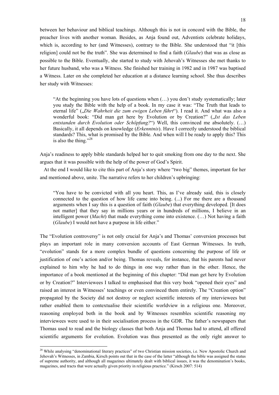between her behaviour and biblical teachings. Although this is not in concord with the Bible, the preacher lives with another woman. Besides, as Anja found out, Adventists celebrate holidays, which is, according to her (and Witnesses), contrary to the Bible. She understood that "it [this religion] could not be the truth". She was determined to find a faith (*Glaube*) that was as close as possible to the Bible. Eventually, she started to study with Jehovah's Witnesses she met thanks to her future husband, who was a Witness. She finished her training in 1982 and in 1987 was baptised a Witness. Later on she completed her education at a distance learning school. She thus describes her study with Witnesses:

"At the beginning you have lots of questions when (…) you don't study systematically; later you study the Bible with the help of a book. In my case it was: "The Truth that leads to eternal life" ("Die Wahrheit die zum ewigen Leben führt"). I read it. And what was also a wonderful book: "Did man get here by Evolution or by Creation?" (*Ist das Leben entstanden durch Evolution oder Schöpfung?*") Well, this convinced me absolutely. (…) Basically, it all depends on knowledge (*Erkenntnis*). Have I correctly understood the biblical standards? This, what is promised by the Bible. And when will I be ready to apply this? This is also the thing."28

Anja's readiness to apply bible standards helped her to quit smoking from one day to the next. She argues that it was possible with the help of the power of God's Spirit.

At the end I would like to cite this part of Anja's story where "two big" themes, important for her and mentioned above, unite. The narrative refers to her children's upbringing:

"You have to be convicted with all you heart. This, as I've already said, this is closely connected to the question of how life came into being. (...) For me there are a thousand arguments when I say this is a question of faith (*Glaube*) that everything developed. [It does not matter] that they say in millions years or in hundreds of millions, I believe in an intelligent power (*Macht*) that made everything come into existence. (…) Not having a faith (*Glaube*) I would not have a purpose in life either."

The "Evolution controversy" is not only crucial for Anja's and Thomas' conversion processes but plays an important role in many conversion accounts of East German Witnesses. In truth, "evolution" stands for a more complex bundle of questions concerning the purpose of life or justification of one's action and/or being. Thomas reveals, for instance, that his parents had never explained to him why he had to do things in one way rather than in the other. Hence, the importance of a book mentioned at the beginning of this chapter: "Did man get here by Evolution or by Creation?" Interviewees I talked to emphasised that this very book "opened their eyes" and raised an interest in Witnesses' teachings or even convinced them entirely. The "Creation option" propagated by the Society did not destroy or neglect scientific interests of my interviewees but rather enabled them to contextualise their scientific worldview in a religious one. Moreover, reasoning employed both in the book and by Witnesses resembles scientific reasoning my interviewees were used to in their socialisation process in the GDR. The father's newspapers that Thomas used to read and the biology classes that both Anja and Thomas had to attend, all offered scientific arguments for evolution. Evolution was thus presented as the only right answer to

<sup>&</sup>lt;sup>28</sup> While analysing "denominational literary practices" of two Christian mission societies, i.e. New Apostolic Church and Jehovah's Witnesses, in Zambia, Kirsch points out that in the case of the latter "although the bible was assigned the status of supreme authority, and although all magazines ultimately dealt with biblical issues, it was the denomination's books, magazines, and tracts that were actually given priority in religious practice." (Kirsch 2007: 514)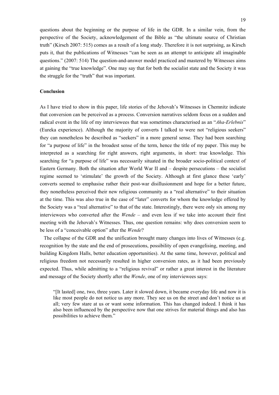questions about the beginning or the purpose of life in the GDR. In a similar vein, from the perspective of the Society, acknowledgement of the Bible as "the ultimate source of Christian truth" (Kirsch 2007: 515) comes as a result of a long study. Therefore it is not surprising, as Kirsch puts it, that the publications of Witnesses "can be seen as an attempt to anticipate all imaginable questions." (2007: 514) The question-and-answer model practiced and mastered by Witnesses aims at gaining the "true knowledge". One may say that for both the socialist state and the Society it was the struggle for the "truth" that was important.

#### **Conclusion**

As I have tried to show in this paper, life stories of the Jehovah's Witnesses in Chemnitz indicate that conversion can be perceived as a process. Conversion narratives seldom focus on a sudden and radical event in the life of my interviewees that was sometimes characterised as an "*Aha-Erlebnis*" (Eureka experience). Although the majority of converts I talked to were not "religious seekers" they can nonetheless be described as "seekers" in a more general sense. They had been searching for "a purpose of life" in the broadest sense of the term, hence the title of my paper. This may be interpreted as a searching for right answers, right arguments, in short: true knowledge. This searching for "a purpose of life" was necessarily situated in the broader socio-political context of Eastern Germany. Both the situation after World War II and – despite persecutions – the socialist regime seemed to 'stimulate' the growth of the Society. Although at first glance these 'early' converts seemed to emphasise rather their post-war disillusionment and hope for a better future, they nonetheless perceived their new religious community as a "real alternative" to their situation at the time. This was also true in the case of "later" converts for whom the knowledge offered by the Society was a "real alternative" to that of the state. Interestingly, there were only six among my interviewees who converted after the *Wende* – and even less if we take into account their first meeting with the Jehovah's Witnesses. Thus, one question remains: why does conversion seem to be less of a "conceivable option" after the *Wende*?

The collapse of the GDR and the unification brought many changes into lives of Witnesses (e.g. recognition by the state and the end of prosecutions, possibility of open evangelising, meeting, and building Kingdom Halls, better education opportunities). At the same time, however, political and religious freedom not necessarily resulted in higher conversion rates, as it had been previously expected. Thus, while admitting to a "religious revival" or rather a great interest in the literature and message of the Society shortly after the *Wende*, one of my interviewees says:

"[It lasted] one, two, three years. Later it slowed down, it became everyday life and now it is like most people do not notice us any more. They see us on the street and don't notice us at all; very few stare at us or want some information. This has changed indeed. I think it has also been influenced by the perspective now that one strives for material things and also has possibilities to achieve them."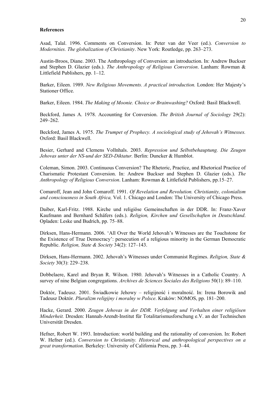#### **References**

Asad, Talal. 1996. Comments on Conversion. In: Peter van der Veer (ed.). *Conversion to Modernities. The globalization of Christianity*. New York: Routledge, pp. 263–273.

Austin-Broos, Diane. 2003. The Anthropology of Conversion: an introduction. In: Andrew Buckser and Stephen D. Glazier (eds.). *The Anthropology of Religious Conversion*. Lanham: Rowman & Littlefield Publishers, pp. 1–12.

Barker, Eileen. 1989. *New Religious Movements. A practical introduction.* London: Her Majesty's Stationer Office.

Barker, Eileen. 1984. *The Making of Moonie. Choice or Brainwashing?* Oxford: Basil Blackwell.

Beckford, James A. 1978. Accounting for Conversion. *The British Journal of Sociology* 29(2): 249–262.

Beckford, James A. 1975. *The Trumpet of Prophecy. A sociological study of Jehovah's Witnesses.* Oxford: Basil Blackwell.

Besier, Gerhard and Clemens Vollnhals. 2003. *Repression und Selbstbehauptung. Die Zeugen Jehovas unter der NS-und der SED-Diktatur.* Berlin: Duncker & Humblot.

Coleman, Simon. 2003. Continuous Conversion? The Rhetoric, Practice, and Rhetorical Practice of Charismatic Protestant Conversion. In: Andrew Buckser and Stephen D. Glazier (eds.). *The Anthropology of Religious Conversion*. Lanham: Rowman & Littlefield Publishers, pp.15–27.

Comaroff, Jean and John Comaroff. 1991. *Of Revelation and Revolution. Christianity, colonialism and consciousness in South Africa,* Vol. 1. Chicago and London: The University of Chicago Press.

Daiber, Karl-Fritz. 1988. Kirche und religiöse Gemeinschaften in der DDR. In: Franz-Xaver Kaufmann and Bernhard Schäfers (eds.). *Religion, Kirchen und Gesellschaften in Deutschland*. Opladen: Leske und Budrich, pp. 75–88.

Dirksen, Hans-Hermann. 2006. 'All Over the World Jehovah's Witnesses are the Touchstone for the Existence of True Democracy': persecution of a religious minority in the German Democratic Republic. *Religion, State & Society* 34(2): 127–143.

Dirksen, Hans-Hermann. 2002. Jehovah's Witnesses under Communist Regimes. *Religion, State & Society* 30(3): 229–238.

Dobbelaere, Karel and Bryan R. Wilson. 1980. Jehovah's Witnesses in a Catholic Country. A survey of nine Belgian congregations. *Archives de Sciences Sociales des Religions* 50(1): 89–110.

Doktór, Tadeusz. 2001. Świadkowie Jehowy – religijność i moralność. In: Irena Borowik and Tadeusz Doktór. *Pluralizm religijny i moralny w Polsce*. Kraków: NOMOS, pp. 181–200.

Hacke, Gerard. 2000. *Zeugen Jehovas in der DDR. Verfolgung und Verhalten einer religiösen Minderheit.* Dresden: Hannah-Arendt-Institut für Totalitarismusforschung e.V. an der Technischen Universität Dresden.

Hefner, Robert W. 1993. Introduction: world building and the rationality of conversion. In: Robert W. Hefner (ed.). *Conversion to Christianity. Historical and anthropological perspectives on a great transformation*. Berkeley: University of California Press, pp. 3–44.